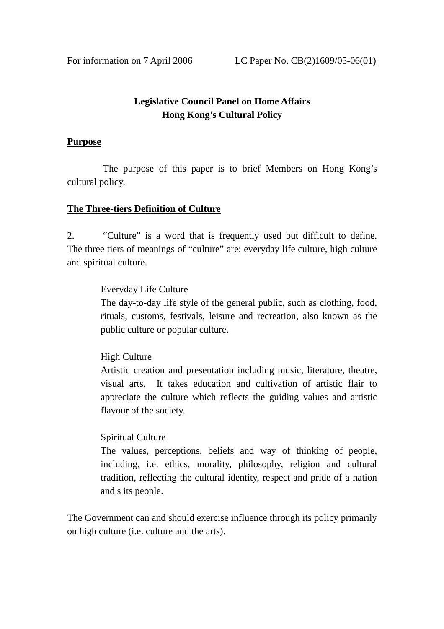# **Legislative Council Panel on Home Affairs Hong Kong's Cultural Policy**

#### **Purpose**

 The purpose of this paper is to brief Members on Hong Kong's cultural policy.

#### **The Three-tiers Definition of Culture**

2. "Culture" is a word that is frequently used but difficult to define. The three tiers of meanings of "culture" are: everyday life culture, high culture and spiritual culture.

#### Everyday Life Culture

The day-to-day life style of the general public, such as clothing, food, rituals, customs, festivals, leisure and recreation, also known as the public culture or popular culture.

High Culture

Artistic creation and presentation including music, literature, theatre, visual arts. It takes education and cultivation of artistic flair to appreciate the culture which reflects the guiding values and artistic flavour of the society.

## Spiritual Culture

The values, perceptions, beliefs and way of thinking of people, including, i.e. ethics, morality, philosophy, religion and cultural tradition, reflecting the cultural identity, respect and pride of a nation and s its people.

The Government can and should exercise influence through its policy primarily on high culture (i.e. culture and the arts).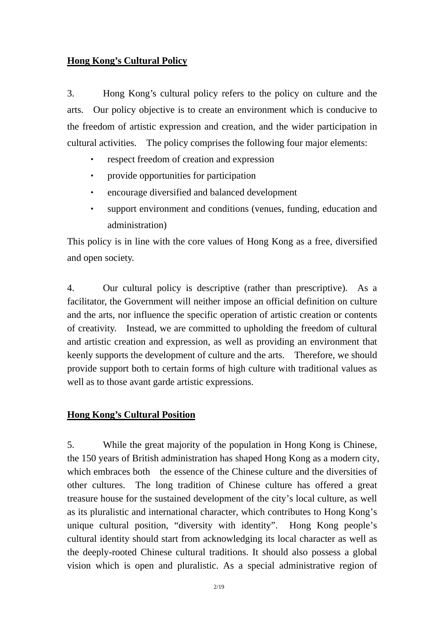#### **Hong Kong's Cultural Policy**

3. Hong Kong's cultural policy refers to the policy on culture and the arts. Our policy objective is to create an environment which is conducive to the freedom of artistic expression and creation, and the wider participation in cultural activities. The policy comprises the following four major elements:

- respect freedom of creation and expression
- ‧ provide opportunities for participation
- ‧ encourage diversified and balanced development
- ‧ support environment and conditions (venues, funding, education and administration)

This policy is in line with the core values of Hong Kong as a free, diversified and open society.

4. Our cultural policy is descriptive (rather than prescriptive). As a facilitator, the Government will neither impose an official definition on culture and the arts, nor influence the specific operation of artistic creation or contents of creativity. Instead, we are committed to upholding the freedom of cultural and artistic creation and expression, as well as providing an environment that keenly supports the development of culture and the arts. Therefore, we should provide support both to certain forms of high culture with traditional values as well as to those avant garde artistic expressions.

#### **Hong Kong's Cultural Position**

5. While the great majority of the population in Hong Kong is Chinese, the 150 years of British administration has shaped Hong Kong as a modern city, which embraces both the essence of the Chinese culture and the diversities of other cultures. The long tradition of Chinese culture has offered a great treasure house for the sustained development of the city's local culture, as well as its pluralistic and international character, which contributes to Hong Kong's unique cultural position, "diversity with identity". Hong Kong people's cultural identity should start from acknowledging its local character as well as the deeply-rooted Chinese cultural traditions. It should also possess a global vision which is open and pluralistic. As a special administrative region of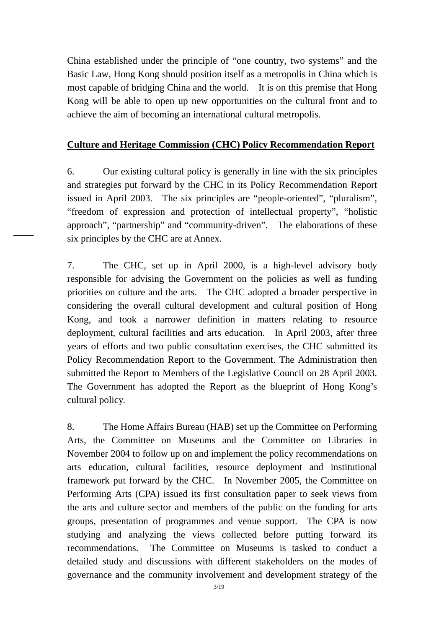China established under the principle of "one country, two systems" and the Basic Law, Hong Kong should position itself as a metropolis in China which is most capable of bridging China and the world. It is on this premise that Hong Kong will be able to open up new opportunities on the cultural front and to achieve the aim of becoming an international cultural metropolis.

## **Culture and Heritage Commission (CHC) Policy Recommendation Report**

6. Our existing cultural policy is generally in line with the six principles and strategies put forward by the CHC in its Policy Recommendation Report issued in April 2003. The six principles are "people-oriented", "pluralism", "freedom of expression and protection of intellectual property", "holistic approach", "partnership" and "community-driven". The elaborations of these six principles by the CHC are at Annex.

7. The CHC, set up in April 2000, is a high-level advisory body responsible for advising the Government on the policies as well as funding priorities on culture and the arts. The CHC adopted a broader perspective in considering the overall cultural development and cultural position of Hong Kong, and took a narrower definition in matters relating to resource deployment, cultural facilities and arts education. In April 2003, after three years of efforts and two public consultation exercises, the CHC submitted its Policy Recommendation Report to the Government. The Administration then submitted the Report to Members of the Legislative Council on 28 April 2003. The Government has adopted the Report as the blueprint of Hong Kong's cultural policy.

8. The Home Affairs Bureau (HAB) set up the Committee on Performing Arts, the Committee on Museums and the Committee on Libraries in November 2004 to follow up on and implement the policy recommendations on arts education, cultural facilities, resource deployment and institutional framework put forward by the CHC. In November 2005, the Committee on Performing Arts (CPA) issued its first consultation paper to seek views from the arts and culture sector and members of the public on the funding for arts groups, presentation of programmes and venue support. The CPA is now studying and analyzing the views collected before putting forward its recommendations. The Committee on Museums is tasked to conduct a detailed study and discussions with different stakeholders on the modes of governance and the community involvement and development strategy of the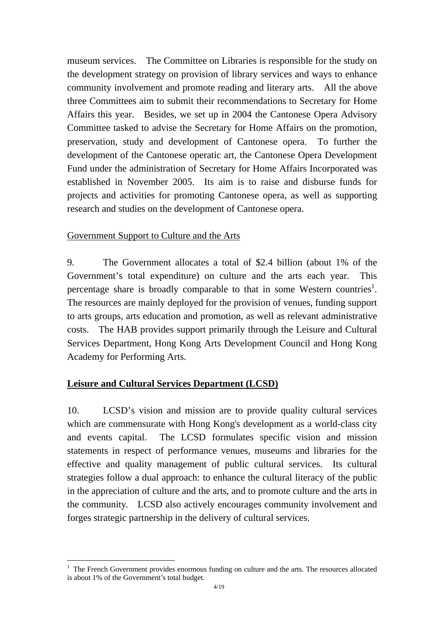museum services. The Committee on Libraries is responsible for the study on the development strategy on provision of library services and ways to enhance community involvement and promote reading and literary arts. All the above three Committees aim to submit their recommendations to Secretary for Home Affairs this year. Besides, we set up in 2004 the Cantonese Opera Advisory Committee tasked to advise the Secretary for Home Affairs on the promotion, preservation, study and development of Cantonese opera. To further the development of the Cantonese operatic art, the Cantonese Opera Development Fund under the administration of Secretary for Home Affairs Incorporated was established in November 2005. Its aim is to raise and disburse funds for projects and activities for promoting Cantonese opera, as well as supporting research and studies on the development of Cantonese opera.

## Government Support to Culture and the Arts

9. The Government allocates a total of \$2.4 billion (about 1% of the Government's total expenditure) on culture and the arts each year. This percentage share is broadly comparable to that in some Western countries<sup>1</sup>. The resources are mainly deployed for the provision of venues, funding support to arts groups, arts education and promotion, as well as relevant administrative costs. The HAB provides support primarily through the Leisure and Cultural Services Department, Hong Kong Arts Development Council and Hong Kong Academy for Performing Arts.

## **Leisure and Cultural Services Department (LCSD)**

 $\overline{a}$ 

10. LCSD's vision and mission are to provide quality cultural services which are commensurate with Hong Kong's development as a world-class city and events capital. The LCSD formulates specific vision and mission statements in respect of performance venues, museums and libraries for the effective and quality management of public cultural services. Its cultural strategies follow a dual approach: to enhance the cultural literacy of the public in the appreciation of culture and the arts, and to promote culture and the arts in the community. LCSD also actively encourages community involvement and forges strategic partnership in the delivery of cultural services.

<sup>1</sup> The French Government provides enormous funding on culture and the arts. The resources allocated is about 1% of the Government's total budget.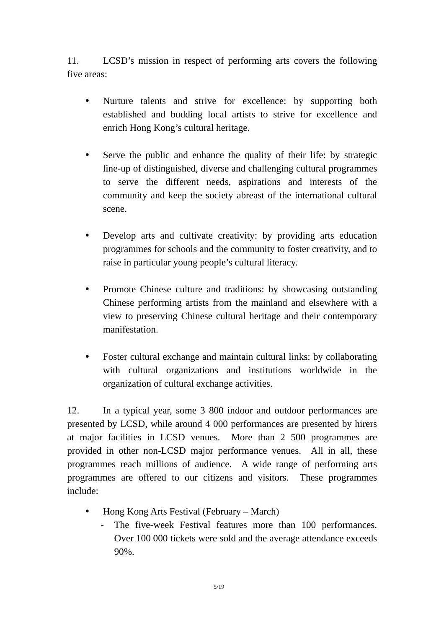11. LCSD's mission in respect of performing arts covers the following five areas:

- ! Nurture talents and strive for excellence: by supporting both established and budding local artists to strive for excellence and enrich Hong Kong's cultural heritage.
- ! Serve the public and enhance the quality of their life: by strategic line-up of distinguished, diverse and challenging cultural programmes to serve the different needs, aspirations and interests of the community and keep the society abreast of the international cultural scene.
- ! Develop arts and cultivate creativity: by providing arts education programmes for schools and the community to foster creativity, and to raise in particular young people's cultural literacy.
- Promote Chinese culture and traditions: by showcasing outstanding Chinese performing artists from the mainland and elsewhere with a view to preserving Chinese cultural heritage and their contemporary manifestation.
- ! Foster cultural exchange and maintain cultural links: by collaborating with cultural organizations and institutions worldwide in the organization of cultural exchange activities.

12. In a typical year, some 3 800 indoor and outdoor performances are presented by LCSD, while around 4 000 performances are presented by hirers at major facilities in LCSD venues. More than 2 500 programmes are provided in other non-LCSD major performance venues. All in all, these programmes reach millions of audience. A wide range of performing arts programmes are offered to our citizens and visitors. These programmes include:

- Hong Kong Arts Festival (February March)
	- The five-week Festival features more than 100 performances. Over 100 000 tickets were sold and the average attendance exceeds 90%.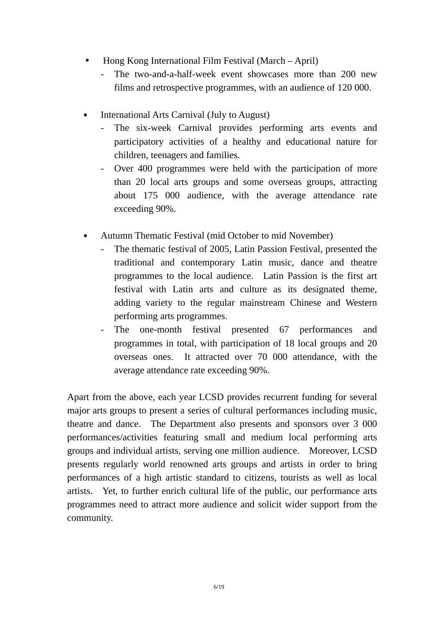- Hong Kong International Film Festival (March April)
	- The two-and-a-half-week event showcases more than 200 new films and retrospective programmes, with an audience of 120 000.
- ․ International Arts Carnival (July to August)
	- The six-week Carnival provides performing arts events and participatory activities of a healthy and educational nature for children, teenagers and families.
	- Over 400 programmes were held with the participation of more than 20 local arts groups and some overseas groups, attracting about 175 000 audience, with the average attendance rate exceeding 90%.
- ․ Autumn Thematic Festival (mid October to mid November)
	- The thematic festival of 2005, Latin Passion Festival, presented the traditional and contemporary Latin music, dance and theatre programmes to the local audience. Latin Passion is the first art festival with Latin arts and culture as its designated theme, adding variety to the regular mainstream Chinese and Western performing arts programmes.
	- The one-month festival presented 67 performances and programmes in total, with participation of 18 local groups and 20 overseas ones. It attracted over 70 000 attendance, with the average attendance rate exceeding 90%.

Apart from the above, each year LCSD provides recurrent funding for several major arts groups to present a series of cultural performances including music, theatre and dance. The Department also presents and sponsors over 3 000 performances/activities featuring small and medium local performing arts groups and individual artists, serving one million audience. Moreover, LCSD presents regularly world renowned arts groups and artists in order to bring performances of a high artistic standard to citizens, tourists as well as local artists. Yet, to further enrich cultural life of the public, our performance arts programmes need to attract more audience and solicit wider support from the community.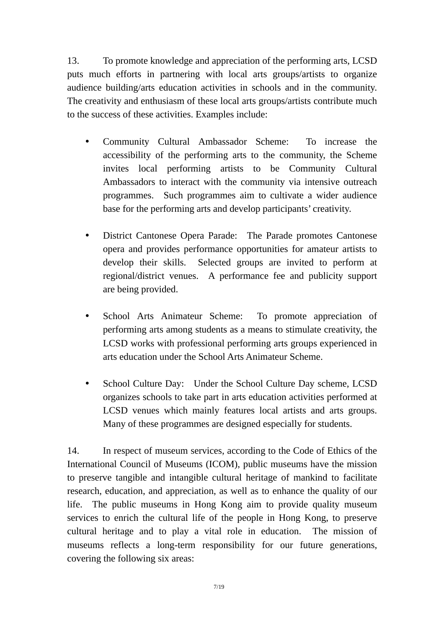13. To promote knowledge and appreciation of the performing arts, LCSD puts much efforts in partnering with local arts groups/artists to organize audience building/arts education activities in schools and in the community. The creativity and enthusiasm of these local arts groups/artists contribute much to the success of these activities. Examples include:

- ! Community Cultural Ambassador Scheme: To increase the accessibility of the performing arts to the community, the Scheme invites local performing artists to be Community Cultural Ambassadors to interact with the community via intensive outreach programmes. Such programmes aim to cultivate a wider audience base for the performing arts and develop participants' creativity.
- ! District Cantonese Opera Parade: The Parade promotes Cantonese opera and provides performance opportunities for amateur artists to develop their skills. Selected groups are invited to perform at regional/district venues. A performance fee and publicity support are being provided.
- ! School Arts Animateur Scheme: To promote appreciation of performing arts among students as a means to stimulate creativity, the LCSD works with professional performing arts groups experienced in arts education under the School Arts Animateur Scheme.
- ! School Culture Day: Under the School Culture Day scheme, LCSD organizes schools to take part in arts education activities performed at LCSD venues which mainly features local artists and arts groups. Many of these programmes are designed especially for students.

14. In respect of museum services, according to the Code of Ethics of the International Council of Museums (ICOM), public museums have the mission to preserve tangible and intangible cultural heritage of mankind to facilitate research, education, and appreciation, as well as to enhance the quality of our life. The public museums in Hong Kong aim to provide quality museum services to enrich the cultural life of the people in Hong Kong, to preserve cultural heritage and to play a vital role in education. The mission of museums reflects a long-term responsibility for our future generations, covering the following six areas: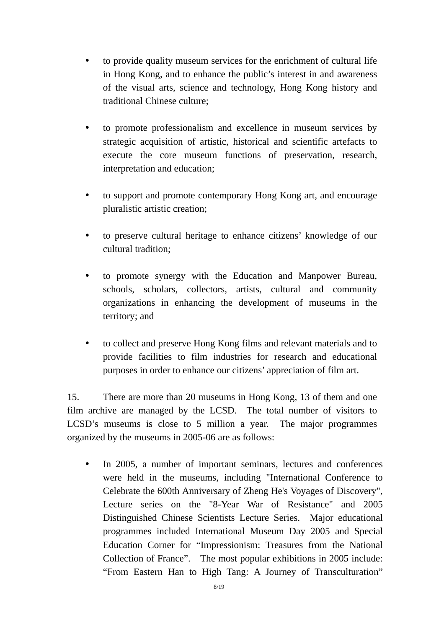- ! to provide quality museum services for the enrichment of cultural life in Hong Kong, and to enhance the public's interest in and awareness of the visual arts, science and technology, Hong Kong history and traditional Chinese culture;
- ! to promote professionalism and excellence in museum services by strategic acquisition of artistic, historical and scientific artefacts to execute the core museum functions of preservation, research, interpretation and education;
- ! to support and promote contemporary Hong Kong art, and encourage pluralistic artistic creation;
- ! to preserve cultural heritage to enhance citizens' knowledge of our cultural tradition;
- ! to promote synergy with the Education and Manpower Bureau, schools, scholars, collectors, artists, cultural and community organizations in enhancing the development of museums in the territory; and
- ! to collect and preserve Hong Kong films and relevant materials and to provide facilities to film industries for research and educational purposes in order to enhance our citizens' appreciation of film art.

15. There are more than 20 museums in Hong Kong, 13 of them and one film archive are managed by the LCSD. The total number of visitors to LCSD's museums is close to 5 million a year. The major programmes organized by the museums in 2005-06 are as follows:

• In 2005, a number of important seminars, lectures and conferences were held in the museums, including "International Conference to Celebrate the 600th Anniversary of Zheng He's Voyages of Discovery", Lecture series on the "8-Year War of Resistance" and 2005 Distinguished Chinese Scientists Lecture Series. Major educational programmes included International Museum Day 2005 and Special Education Corner for "Impressionism: Treasures from the National Collection of France". The most popular exhibitions in 2005 include: "From Eastern Han to High Tang: A Journey of Transculturation"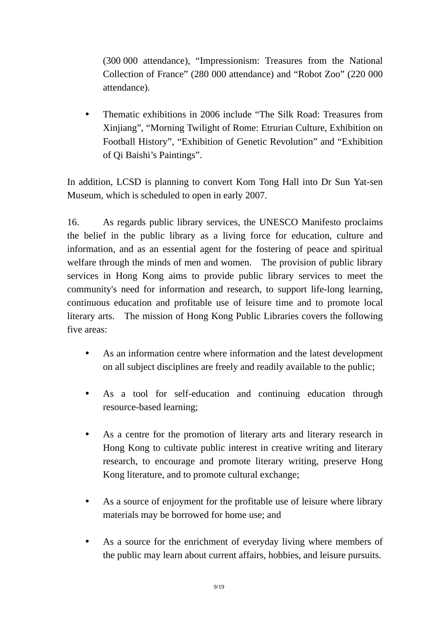(300 000 attendance), "Impressionism: Treasures from the National Collection of France" (280 000 attendance) and "Robot Zoo" (220 000 attendance).

• Thematic exhibitions in 2006 include "The Silk Road: Treasures from Xinjiang", "Morning Twilight of Rome: Etrurian Culture, Exhibition on Football History", "Exhibition of Genetic Revolution" and "Exhibition of Qi Baishi's Paintings".

In addition, LCSD is planning to convert Kom Tong Hall into Dr Sun Yat-sen Museum, which is scheduled to open in early 2007.

16. As regards public library services, the UNESCO Manifesto proclaims the belief in the public library as a living force for education, culture and information, and as an essential agent for the fostering of peace and spiritual welfare through the minds of men and women. The provision of public library services in Hong Kong aims to provide public library services to meet the community's need for information and research, to support life-long learning, continuous education and profitable use of leisure time and to promote local literary arts. The mission of Hong Kong Public Libraries covers the following five areas:

- As an information centre where information and the latest development on all subject disciplines are freely and readily available to the public;
- ! As a tool for self-education and continuing education through resource-based learning;
- ! As a centre for the promotion of literary arts and literary research in Hong Kong to cultivate public interest in creative writing and literary research, to encourage and promote literary writing, preserve Hong Kong literature, and to promote cultural exchange;
- ! As a source of enjoyment for the profitable use of leisure where library materials may be borrowed for home use; and
- ! As a source for the enrichment of everyday living where members of the public may learn about current affairs, hobbies, and leisure pursuits.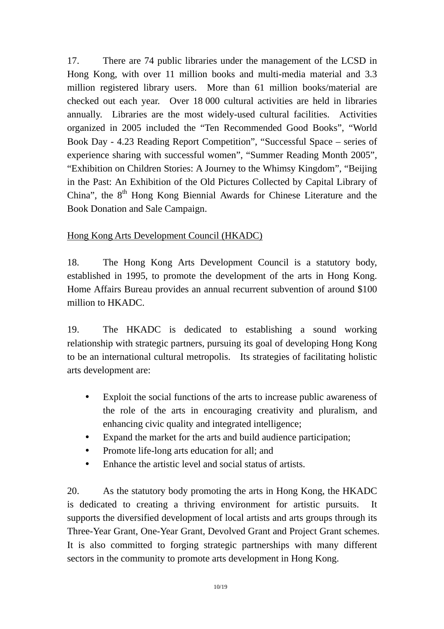17. There are 74 public libraries under the management of the LCSD in Hong Kong, with over 11 million books and multi-media material and 3.3 million registered library users. More than 61 million books/material are checked out each year. Over 18 000 cultural activities are held in libraries annually. Libraries are the most widely-used cultural facilities. Activities organized in 2005 included the "Ten Recommended Good Books", "World Book Day - 4.23 Reading Report Competition", "Successful Space – series of experience sharing with successful women", "Summer Reading Month 2005", "Exhibition on Children Stories: A Journey to the Whimsy Kingdom", "Beijing in the Past: An Exhibition of the Old Pictures Collected by Capital Library of China", the  $8<sup>th</sup>$  Hong Kong Biennial Awards for Chinese Literature and the Book Donation and Sale Campaign.

# Hong Kong Arts Development Council (HKADC)

18. The Hong Kong Arts Development Council is a statutory body, established in 1995, to promote the development of the arts in Hong Kong. Home Affairs Bureau provides an annual recurrent subvention of around \$100 million to HKADC.

19. The HKADC is dedicated to establishing a sound working relationship with strategic partners, pursuing its goal of developing Hong Kong to be an international cultural metropolis. Its strategies of facilitating holistic arts development are:

- ! Exploit the social functions of the arts to increase public awareness of the role of the arts in encouraging creativity and pluralism, and enhancing civic quality and integrated intelligence;
- ! Expand the market for the arts and build audience participation;
- Promote life-long arts education for all; and
- ! Enhance the artistic level and social status of artists.

20. As the statutory body promoting the arts in Hong Kong, the HKADC is dedicated to creating a thriving environment for artistic pursuits. It supports the diversified development of local artists and arts groups through its Three-Year Grant, One-Year Grant, Devolved Grant and Project Grant schemes. It is also committed to forging strategic partnerships with many different sectors in the community to promote arts development in Hong Kong.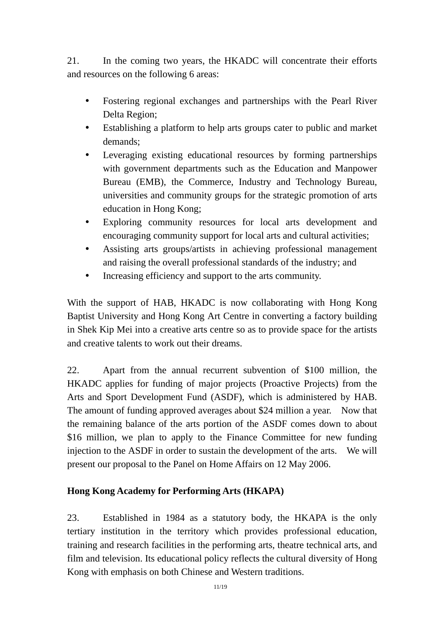21. In the coming two years, the HKADC will concentrate their efforts and resources on the following 6 areas:

- ! Fostering regional exchanges and partnerships with the Pearl River Delta Region;
- ! Establishing a platform to help arts groups cater to public and market demands;
- ! Leveraging existing educational resources by forming partnerships with government departments such as the Education and Manpower Bureau (EMB), the Commerce, Industry and Technology Bureau, universities and community groups for the strategic promotion of arts education in Hong Kong;
- ! Exploring community resources for local arts development and encouraging community support for local arts and cultural activities;
- ! Assisting arts groups/artists in achieving professional management and raising the overall professional standards of the industry; and
- ! Increasing efficiency and support to the arts community.

With the support of HAB, HKADC is now collaborating with Hong Kong Baptist University and Hong Kong Art Centre in converting a factory building in Shek Kip Mei into a creative arts centre so as to provide space for the artists and creative talents to work out their dreams.

22. Apart from the annual recurrent subvention of \$100 million, the HKADC applies for funding of major projects (Proactive Projects) from the Arts and Sport Development Fund (ASDF), which is administered by HAB. The amount of funding approved averages about \$24 million a year. Now that the remaining balance of the arts portion of the ASDF comes down to about \$16 million, we plan to apply to the Finance Committee for new funding injection to the ASDF in order to sustain the development of the arts. We will present our proposal to the Panel on Home Affairs on 12 May 2006.

# **Hong Kong Academy for Performing Arts (HKAPA)**

23. Established in 1984 as a statutory body, the HKAPA is the only tertiary institution in the territory which provides professional education, training and research facilities in the performing arts, theatre technical arts, and film and television. Its educational policy reflects the cultural diversity of Hong Kong with emphasis on both Chinese and Western traditions.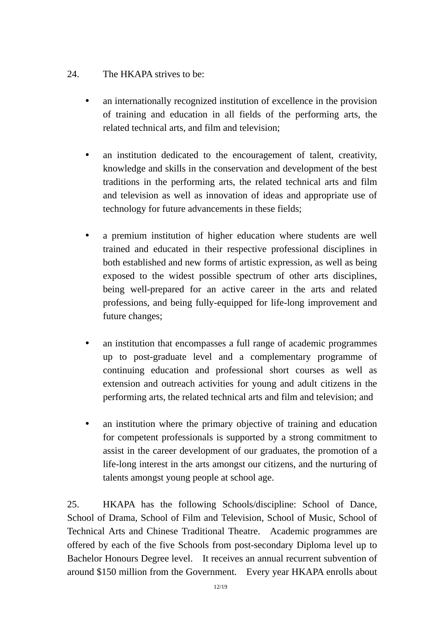## 24. The HKAPA strives to be:

- an internationally recognized institution of excellence in the provision of training and education in all fields of the performing arts, the related technical arts, and film and television;
- an institution dedicated to the encouragement of talent, creativity, knowledge and skills in the conservation and development of the best traditions in the performing arts, the related technical arts and film and television as well as innovation of ideas and appropriate use of technology for future advancements in these fields;
- ! a premium institution of higher education where students are well trained and educated in their respective professional disciplines in both established and new forms of artistic expression, as well as being exposed to the widest possible spectrum of other arts disciplines, being well-prepared for an active career in the arts and related professions, and being fully-equipped for life-long improvement and future changes;
- ! an institution that encompasses a full range of academic programmes up to post-graduate level and a complementary programme of continuing education and professional short courses as well as extension and outreach activities for young and adult citizens in the performing arts, the related technical arts and film and television; and
- an institution where the primary objective of training and education for competent professionals is supported by a strong commitment to assist in the career development of our graduates, the promotion of a life-long interest in the arts amongst our citizens, and the nurturing of talents amongst young people at school age.

25. HKAPA has the following Schools/discipline: School of Dance, School of Drama, School of Film and Television, School of Music, School of Technical Arts and Chinese Traditional Theatre. Academic programmes are offered by each of the five Schools from post-secondary Diploma level up to Bachelor Honours Degree level. It receives an annual recurrent subvention of around \$150 million from the Government. Every year HKAPA enrolls about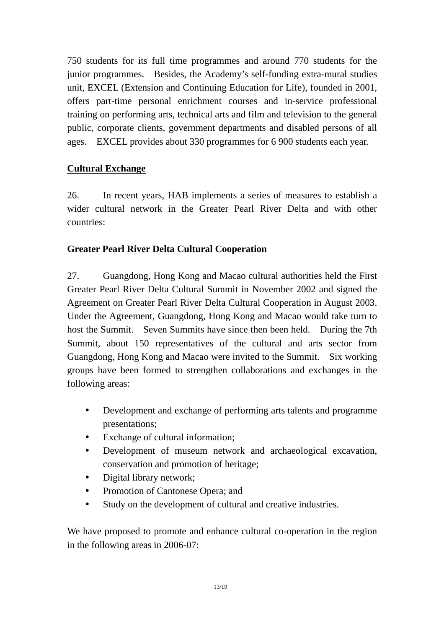750 students for its full time programmes and around 770 students for the junior programmes. Besides, the Academy's self-funding extra-mural studies unit, EXCEL (Extension and Continuing Education for Life), founded in 2001, offers part-time personal enrichment courses and in-service professional training on performing arts, technical arts and film and television to the general public, corporate clients, government departments and disabled persons of all ages. EXCEL provides about 330 programmes for 6 900 students each year.

# **Cultural Exchange**

26. In recent years, HAB implements a series of measures to establish a wider cultural network in the Greater Pearl River Delta and with other countries:

## **Greater Pearl River Delta Cultural Cooperation**

27. Guangdong, Hong Kong and Macao cultural authorities held the First Greater Pearl River Delta Cultural Summit in November 2002 and signed the Agreement on Greater Pearl River Delta Cultural Cooperation in August 2003. Under the Agreement, Guangdong, Hong Kong and Macao would take turn to host the Summit. Seven Summits have since then been held. During the 7th Summit, about 150 representatives of the cultural and arts sector from Guangdong, Hong Kong and Macao were invited to the Summit. Six working groups have been formed to strengthen collaborations and exchanges in the following areas:

- ! Development and exchange of performing arts talents and programme presentations;
- Exchange of cultural information:
- ! Development of museum network and archaeological excavation, conservation and promotion of heritage;
- Digital library network;
- Promotion of Cantonese Opera; and
- ! Study on the development of cultural and creative industries.

We have proposed to promote and enhance cultural co-operation in the region in the following areas in 2006-07: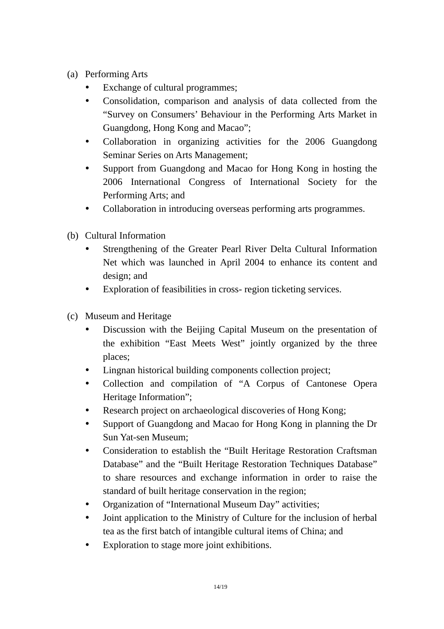- (a) Performing Arts
	- Exchange of cultural programmes:
	- ! Consolidation, comparison and analysis of data collected from the "Survey on Consumers' Behaviour in the Performing Arts Market in Guangdong, Hong Kong and Macao";
	- ! Collaboration in organizing activities for the 2006 Guangdong Seminar Series on Arts Management;
	- ! Support from Guangdong and Macao for Hong Kong in hosting the 2006 International Congress of International Society for the Performing Arts; and
	- Collaboration in introducing overseas performing arts programmes.
- (b) Cultural Information
	- ! Strengthening of the Greater Pearl River Delta Cultural Information Net which was launched in April 2004 to enhance its content and design; and
	- ! Exploration of feasibilities in cross- region ticketing services.
- (c) Museum and Heritage
	- ! Discussion with the Beijing Capital Museum on the presentation of the exhibition "East Meets West" jointly organized by the three places;
	- Lingnan historical building components collection project;
	- ! Collection and compilation of "A Corpus of Cantonese Opera Heritage Information";
	- ! Research project on archaeological discoveries of Hong Kong;
	- ! Support of Guangdong and Macao for Hong Kong in planning the Dr Sun Yat-sen Museum;
	- Consideration to establish the "Built Heritage Restoration Craftsman Database" and the "Built Heritage Restoration Techniques Database" to share resources and exchange information in order to raise the standard of built heritage conservation in the region;
	- Organization of "International Museum Day" activities;
	- ! Joint application to the Ministry of Culture for the inclusion of herbal tea as the first batch of intangible cultural items of China; and
	- ! Exploration to stage more joint exhibitions.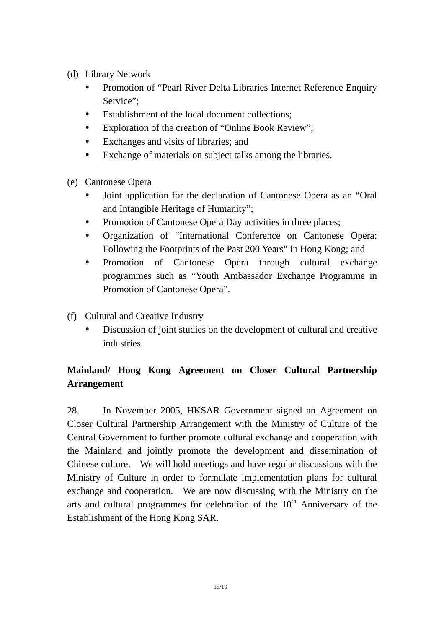- (d) Library Network
	- Promotion of "Pearl River Delta Libraries Internet Reference Enquiry Service":
	- Establishment of the local document collections:
	- ! Exploration of the creation of "Online Book Review";
	- ! Exchanges and visits of libraries; and
	- ! Exchange of materials on subject talks among the libraries.
- (e) Cantonese Opera
	- ! Joint application for the declaration of Cantonese Opera as an "Oral and Intangible Heritage of Humanity";
	- Promotion of Cantonese Opera Day activities in three places;
	- ! Organization of "International Conference on Cantonese Opera: Following the Footprints of the Past 200 Years" in Hong Kong; and
	- ! Promotion of Cantonese Opera through cultural exchange programmes such as "Youth Ambassador Exchange Programme in Promotion of Cantonese Opera".
- (f) Cultural and Creative Industry
	- ! Discussion of joint studies on the development of cultural and creative **industries**

# **Mainland/ Hong Kong Agreement on Closer Cultural Partnership Arrangement**

28. In November 2005, HKSAR Government signed an Agreement on Closer Cultural Partnership Arrangement with the Ministry of Culture of the Central Government to further promote cultural exchange and cooperation with the Mainland and jointly promote the development and dissemination of Chinese culture. We will hold meetings and have regular discussions with the Ministry of Culture in order to formulate implementation plans for cultural exchange and cooperation. We are now discussing with the Ministry on the arts and cultural programmes for celebration of the  $10<sup>th</sup>$  Anniversary of the Establishment of the Hong Kong SAR.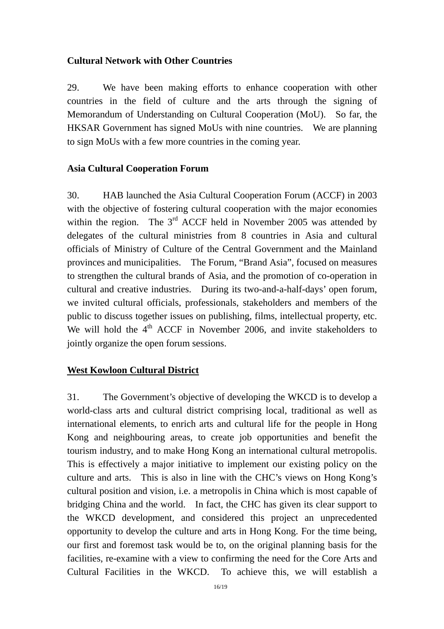#### **Cultural Network with Other Countries**

29. We have been making efforts to enhance cooperation with other countries in the field of culture and the arts through the signing of Memorandum of Understanding on Cultural Cooperation (MoU). So far, the HKSAR Government has signed MoUs with nine countries. We are planning to sign MoUs with a few more countries in the coming year.

#### **Asia Cultural Cooperation Forum**

30. HAB launched the Asia Cultural Cooperation Forum (ACCF) in 2003 with the objective of fostering cultural cooperation with the major economies within the region. The  $3<sup>rd</sup>$  ACCF held in November 2005 was attended by delegates of the cultural ministries from 8 countries in Asia and cultural officials of Ministry of Culture of the Central Government and the Mainland provinces and municipalities. The Forum, "Brand Asia", focused on measures to strengthen the cultural brands of Asia, and the promotion of co-operation in cultural and creative industries. During its two-and-a-half-days' open forum, we invited cultural officials, professionals, stakeholders and members of the public to discuss together issues on publishing, films, intellectual property, etc. We will hold the  $4<sup>th</sup>$  ACCF in November 2006, and invite stakeholders to jointly organize the open forum sessions.

#### **West Kowloon Cultural District**

31. The Government's objective of developing the WKCD is to develop a world-class arts and cultural district comprising local, traditional as well as international elements, to enrich arts and cultural life for the people in Hong Kong and neighbouring areas, to create job opportunities and benefit the tourism industry, and to make Hong Kong an international cultural metropolis. This is effectively a major initiative to implement our existing policy on the culture and arts. This is also in line with the CHC's views on Hong Kong's cultural position and vision, i.e. a metropolis in China which is most capable of bridging China and the world. In fact, the CHC has given its clear support to the WKCD development, and considered this project an unprecedented opportunity to develop the culture and arts in Hong Kong. For the time being, our first and foremost task would be to, on the original planning basis for the facilities, re-examine with a view to confirming the need for the Core Arts and Cultural Facilities in the WKCD. To achieve this, we will establish a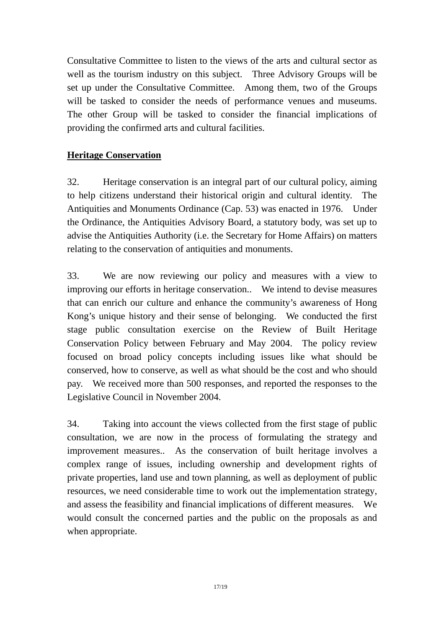Consultative Committee to listen to the views of the arts and cultural sector as well as the tourism industry on this subject. Three Advisory Groups will be set up under the Consultative Committee. Among them, two of the Groups will be tasked to consider the needs of performance venues and museums. The other Group will be tasked to consider the financial implications of providing the confirmed arts and cultural facilities.

## **Heritage Conservation**

32. Heritage conservation is an integral part of our cultural policy, aiming to help citizens understand their historical origin and cultural identity. The Antiquities and Monuments Ordinance (Cap. 53) was enacted in 1976. Under the Ordinance, the Antiquities Advisory Board, a statutory body, was set up to advise the Antiquities Authority (i.e. the Secretary for Home Affairs) on matters relating to the conservation of antiquities and monuments.

33. We are now reviewing our policy and measures with a view to improving our efforts in heritage conservation.. We intend to devise measures that can enrich our culture and enhance the community's awareness of Hong Kong's unique history and their sense of belonging. We conducted the first stage public consultation exercise on the Review of Built Heritage Conservation Policy between February and May 2004. The policy review focused on broad policy concepts including issues like what should be conserved, how to conserve, as well as what should be the cost and who should pay. We received more than 500 responses, and reported the responses to the Legislative Council in November 2004.

34. Taking into account the views collected from the first stage of public consultation, we are now in the process of formulating the strategy and improvement measures.. As the conservation of built heritage involves a complex range of issues, including ownership and development rights of private properties, land use and town planning, as well as deployment of public resources, we need considerable time to work out the implementation strategy, and assess the feasibility and financial implications of different measures. We would consult the concerned parties and the public on the proposals as and when appropriate.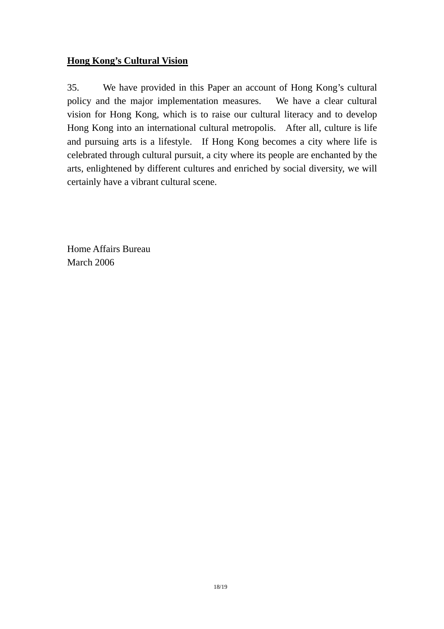## **Hong Kong's Cultural Vision**

35. We have provided in this Paper an account of Hong Kong's cultural policy and the major implementation measures. We have a clear cultural vision for Hong Kong, which is to raise our cultural literacy and to develop Hong Kong into an international cultural metropolis. After all, culture is life and pursuing arts is a lifestyle. If Hong Kong becomes a city where life is celebrated through cultural pursuit, a city where its people are enchanted by the arts, enlightened by different cultures and enriched by social diversity, we will certainly have a vibrant cultural scene.

Home Affairs Bureau March 2006